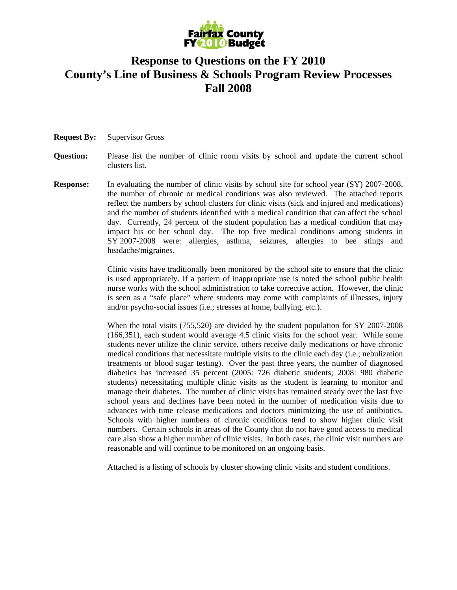

# **Response to Questions on the FY 2010 County's Line of Business & Schools Program Review Processes Fall 2008**

- **Request By:** Supervisor Gross
- **Question:** Please list the number of clinic room visits by school and update the current school clusters list.
- **Response:** In evaluating the number of clinic visits by school site for school year (SY) 2007-2008, the number of chronic or medical conditions was also reviewed. The attached reports reflect the numbers by school clusters for clinic visits (sick and injured and medications) and the number of students identified with a medical condition that can affect the school day. Currently, 24 percent of the student population has a medical condition that may impact his or her school day. The top five medical conditions among students in SY 2007-2008 were: allergies, asthma, seizures, allergies to bee stings and headache/migraines.

Clinic visits have traditionally been monitored by the school site to ensure that the clinic is used appropriately. If a pattern of inappropriate use is noted the school public health nurse works with the school administration to take corrective action. However, the clinic is seen as a "safe place" where students may come with complaints of illnesses, injury and/or psycho-social issues (i.e.; stresses at home, bullying, etc.).

When the total visits (755,520) are divided by the student population for SY 2007-2008 (166,351), each student would average 4.5 clinic visits for the school year. While some students never utilize the clinic service, others receive daily medications or have chronic medical conditions that necessitate multiple visits to the clinic each day (i.e.; nebulization treatments or blood sugar testing). Over the past three years, the number of diagnosed diabetics has increased 35 percent (2005: 726 diabetic students; 2008: 980 diabetic students) necessitating multiple clinic visits as the student is learning to monitor and manage their diabetes. The number of clinic visits has remained steady over the last five school years and declines have been noted in the number of medication visits due to advances with time release medications and doctors minimizing the use of antibiotics. Schools with higher numbers of chronic conditions tend to show higher clinic visit numbers. Certain schools in areas of the County that do not have good access to medical care also show a higher number of clinic visits. In both cases, the clinic visit numbers are reasonable and will continue to be monitored on an ongoing basis.

Attached is a listing of schools by cluster showing clinic visits and student conditions.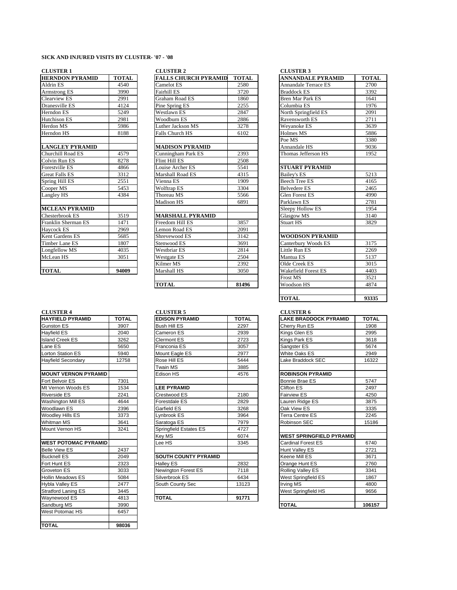### **SICK AND INJURED VISITS BY CLUSTER- '07 - '08**

### **CLUSTER 1**

| <b>HERNDON PYRAMID</b> | <b>TOTAL</b> | <b>FALLS CHURCH PYRAMID</b> | <b>TOTA</b> |
|------------------------|--------------|-----------------------------|-------------|
| Aldrin ES              | 4540         | Camelot ES                  | 2580        |
| Armstrong ES           | 3990         | Fairhill ES                 | 3720        |
| Clearview ES           | 2991         | <b>Graham Road ES</b>       | 1860        |
| Dranesville ES         | 4124         | Pine Spring ES              | 2255        |
| Herndon ES             | 5249         | Westlawn ES                 | 2847        |
| <b>Hutchison ES</b>    | 2981         | Woodburn ES                 | 2886        |
| Herdon MS              | 5986         | Luther Jackson MS           | 3278        |
| Herndon HS             | 8188         | Falls Church HS             | 6102        |
| <b>LANGLEY PYRAMID</b> |              | <b>MADISON PYRAMID</b>      |             |
| Churchill Road ES      | 4579         | Cunningham Park ES          | 2393        |
| Colvin Run ES          | 8278         | Flint Hill ES               | 2508        |
| Forestville ES         | 4866         | Louise Archer ES            | 5541        |
| <b>Great Falls ES</b>  | 3312         | Marshall Road ES            | 4315        |
| Spring Hill ES         | 2551         | Vienna ES                   | 1909        |
| Cooper MS              | 5453         | Wolftrap ES                 | 3304        |
| Langley HS             | 4384         | Thoreau MS                  | 5566        |
|                        |              | <b>Madison HS</b>           | 6891        |
| <b>MCLEAN PYRAMID</b>  |              |                             |             |
| Chesterbrook ES        | 3519         | <b>MARSHALL PYRAMID</b>     |             |
| Franklin Sherman ES    | 1471         | Freedom Hill ES             | 3857        |
| Haycock ES             | 2969         | Lemon Road ES               | 2091        |
| Kent Gardens ES        | 5685         | Shrevewood ES               | 3142        |
| <b>Timber Lane ES</b>  | 1807         | Stenwood ES                 | 3691        |
| Longfellow MS          | 4035         | <b>Westbriar ES</b>         | 2814        |
| McLean HS              | 3051         | Westgate ES                 | 2504        |
|                        |              | Kilmer MS                   | 2392        |
| <b>TOTAL</b>           | 94009        | Marshall HS                 | 3050        |
|                        |              |                             |             |

|              | <b>CLOUTLAN</b>             |              |
|--------------|-----------------------------|--------------|
| <b>TOTAL</b> | <b>EDISON PYRAMID</b>       | <b>TOTAL</b> |
| 3907         | <b>Bush Hill ES</b>         | 2297         |
| 2040         | Cameron ES                  | 2939         |
| 3262         | <b>Clermont ES</b>          | 2723         |
| 5650         | Franconia ES                | 3057         |
| 5940         | Mount Eagle ES              | 2977         |
| 12758        | Rose Hill ES                | 5444         |
|              | <b>Twain MS</b>             | 3885         |
|              | Edison HS                   | 4576         |
| 7301         |                             |              |
| 1534         | <b>LEE PYRAMID</b>          |              |
| 2241         | Crestwood ES                | 2180         |
| 4644         | Forestdale ES               | 2829         |
| 2396         | Garfield ES                 | 3268         |
| 3373         | Lynbrook ES                 | 3964         |
| 3641         | Saratoga ES                 | 7979         |
| 3241         | Springfield Estates ES      | 4727         |
|              | Key MS                      | 6074         |
|              | Lee HS                      | 3345         |
| 2437         |                             |              |
| 2049         | <b>SOUTH COUNTY PYRAMID</b> |              |
| 2323         | <b>Halley ES</b>            | 2832         |
| 3033         | Newington Forest ES         | 7118         |
| 5084         | Silverbrook ES              | 6434         |
| 2477         | South County Sec            | 13123        |
| 3445         |                             |              |
| 4813         | <b>TOTAL</b>                | 91771        |
| 3990         |                             |              |
| 6457         |                             |              |
| 98036        |                             |              |
|              |                             |              |

| <b>CLUSTER 1</b>       |              | <b>CLUSTER 2</b>            |              | <b>CLUSTER 3</b>         |             |
|------------------------|--------------|-----------------------------|--------------|--------------------------|-------------|
| <b>HERNDON PYRAMID</b> | <b>TOTAL</b> | <b>FALLS CHURCH PYRAMID</b> | <b>TOTAL</b> | <b>ANNANDALE PYRAMID</b> | <b>TOTA</b> |
| Aldrin ES              | 4540         | Camelot ES                  | 2580         | Annandale Terrace ES     | 2700        |
| Armstrong ES           | 3990         | Fairhill ES                 | 3720         | <b>Braddock ES</b>       | 3392        |
| Clearview ES           | 2991         | Graham Road ES              | 1860         | <b>Bren Mar Park ES</b>  | 1641        |
| Dranesville ES         | 4124         | Pine Spring ES              | 2255         | Columbia ES              | 1976        |
| Herndon ES             | 5249         | <b>Westlawn ES</b>          | 2847         | North Springfield ES     | 2091        |
| Hutchison ES           | 2981         | Woodburn ES                 | 2886         | Ravensworth ES           | 2711        |
| Herdon MS              | 5986         | Luther Jackson MS           | 3278         | Wevanoke ES              | 3639        |
| Herndon HS             | 8188         | Falls Church HS             | 6102         | Holmes MS                | 5886        |
|                        |              |                             |              | Poe MS                   | 3380        |
| <b>LANGLEY PYRAMID</b> |              | <b>MADISON PYRAMID</b>      |              | Annandale HS             | 9036        |
| Churchill Road ES      | 4579         | Cunningham Park ES          | 2393         | Thomas Jefferson HS      | 1952        |
| Colvin Run ES          | 8278         | Flint Hill ES               | 2508         |                          |             |
| Forestville ES         | 4866         | Louise Archer ES            | 5541         | <b>STUART PYRAMID</b>    |             |
| <b>Great Falls ES</b>  | 3312         | Marshall Road ES            | 4315         | <b>Bailey's ES</b>       | 5213        |
| Spring Hill ES         | 2551         | Vienna ES                   | 1909         | <b>Beech Tree ES</b>     | 4165        |
| Cooper MS              | 5453         | Wolftrap ES                 | 3304         | <b>Belvedere ES</b>      | 2465        |
| Langley HS             | 4384         | Thoreau MS                  | 5566         | <b>Glen Forest ES</b>    | 4990        |
|                        |              | <b>Madison HS</b>           | 6891         | Parklawn ES              | 2781        |
| <b>MCLEAN PYRAMID</b>  |              |                             |              | Sleepy Hollow ES         | 1954        |
| Chesterbrook ES        | 3519         | <b>MARSHALL PYRAMID</b>     |              | Glasgow MS               | 3140        |
| Franklin Sherman ES    | 1471         | Freedom Hill ES             | 3857         | <b>Stuart HS</b>         | 3829        |
| Haycock ES             | 2969         | Lemon Road ES               | 2091         |                          |             |
| Kent Gardens ES        | 5685         | Shrevewood ES               | 3142         | <b>WOODSON PYRAMID</b>   |             |
| <b>Timber Lane ES</b>  | 1807         | Stenwood ES                 | 3691         | Canterbury Woods ES      | 3175        |
| Longfellow MS          | 4035         | <b>Westbriar ES</b>         | 2814         | Little Run ES            | 2269        |
| McLean HS              | 3051         | Westgate ES                 | 2504         | Mantua ES                | 5137        |
|                        |              | Kilmer MS                   | 2392         | Olde Creek ES            | 3015        |
| <b>TOTAL</b>           | 94009        | Marshall HS                 | 3050         | Wakefield Forest ES      | 4403        |
|                        |              |                             |              | <b>Frost MS</b>          | 3521        |
|                        |              | <b>TOTAL</b>                | 81496        | Woodson HS               | 4874        |

# **CLUSTER 4 CLUSTER 5**

| <b>HAYFIELD PYRAMID</b>     | <b>TOTAL</b> | <b>EDISON PYRAMID</b>       | <b>TOTAL</b> | <b>LAKE BRADDOCK PYRAMID</b>    | <b>TOTAI</b> |
|-----------------------------|--------------|-----------------------------|--------------|---------------------------------|--------------|
| Gunston ES                  | 3907         | <b>Bush Hill ES</b>         | 2297         | Cherry Run ES                   | 1908         |
| Hayfield ES                 | 2040         | Cameron ES                  | 2939         | Kings Glen ES                   | 2995         |
| <b>Island Creek ES</b>      | 3262         | <b>Clermont ES</b>          | 2723         | Kings Park ES                   | 3618         |
| Lane ES                     | 5650         | Franconia ES                | 3057         | Sangster ES                     | 5674         |
| <b>Lorton Station ES</b>    | 5940         | Mount Eagle ES              | 2977         | <b>White Oaks ES</b>            | 2949         |
| <b>Hayfield Secondary</b>   | 12758        | Rose Hill ES                | 5444         | Lake Braddock SEC               | 16322        |
|                             |              | <b>Twain MS</b>             | 3885         |                                 |              |
| <b>MOUNT VERNON PYRAMID</b> |              | Edison HS                   | 4576         | <b>ROBINSON PYRAMID</b>         |              |
| Fort Belvoir ES             | 7301         |                             |              | Bonnie Brae ES                  | 5747         |
| Mt Vernon Woods ES          | 1534         | <b>LEE PYRAMID</b>          |              | Clifton ES                      | 2497         |
| <b>Riverside ES</b>         | 2241         | Crestwood ES                | 2180         | Fairview ES                     | 4250         |
| Washington Mill ES          | 4644         | Forestdale ES               | 2829         | Lauren Ridge ES                 | 3875         |
| Woodlawn ES                 | 2396         | Garfield ES                 | 3268         | Oak View ES                     | 3335         |
| Woodley Hills ES            | 3373         | Lynbrook ES                 | 3964         | Terra Centre ES                 | 2245         |
| Whitman MS                  | 3641         | Saratoga ES                 | 7979         | Robinson SEC                    | 15186        |
| Mount Vernon HS             | 3241         | Springfield Estates ES      | 4727         |                                 |              |
|                             |              | Key MS                      | 6074         | <b>WEST SPRINGFIELD PYRAMID</b> |              |
| <b>WEST POTOMAC PYRAMID</b> |              | Lee HS                      | 3345         | Cardinal Forest ES              | 6740         |
| <b>Belle View ES</b>        | 2437         |                             |              | Hunt Valley ES                  | 2721         |
| <b>Bucknell ES</b>          | 2049         | <b>SOUTH COUNTY PYRAMID</b> |              | Keene Mill ES                   | 3671         |
| Fort Hunt ES                | 2323         | <b>Halley ES</b>            | 2832         | Orange Hunt ES                  | 2760         |
| Groveton ES                 | 3033         | Newington Forest ES         | 7118         | Rolling Valley ES               | 3341         |
| <b>Hollin Meadows ES</b>    | 5084         | Silverbrook ES              | 6434         | West Springfield ES             | 1867         |
| Hybla Valley ES             | 2477         | South County Sec            | 13123        | Irving MS                       | 4800         |
| <b>Stratford Laning ES</b>  | 3445         |                             |              | West Springfield HS             | 9656         |
| Waynewood ES                | 4813         | <b>TOTAL</b>                | 91771        |                                 |              |

# **HERNIGHTANIS ANNANDALE PYRAMID TOTAL** Annandale Terrace ES 2700 Bren Mar Park ES 1641 North Springfield ES 2091 Ravensworth ES 2711 Poe MS 3380 **LANGLEY ANGLER PROPRIMED**<br>Thomas Jefferson HS 9036 Thomas Jefferson HS Forestville ES 4866 Louise Archer ES 5541 **STUART PYRAMID** Beech Tree ES 251 4165 Parklawn ES 2781<br>Sleepy Hollow ES 1954 **Sleepy Hollow ES WOODSON PYRAMID** The Canterbury Woods ES 18175<br>
Little Run ES 2269 Olde Creek ES 3015 **TOMAL BUDGER IN STREET ASSESSED AND STREET ASSESSED ASSESSED ASSESSED ASSESSED AT A 3050 WAS ABOUT A 30 F AND FOR STREET ASSESS** Frost MS 3521 **TOTAL 814874** Woodson HS **TOTAL 93335**

### **CLUSTER 6**

| <b>HAYFIELD PYRAMID</b>     | <b>TOTAL</b> | <b>EDISON PYRAMID</b>         | <b>TOTAL</b> | <b>LAKE BRADDOCK PYRAMID</b>    | <b>TOTAL</b> |
|-----------------------------|--------------|-------------------------------|--------------|---------------------------------|--------------|
| <b>Gunston ES</b>           | 3907         | <b>Bush Hill ES</b>           | 2297         | Cherry Run ES                   | 1908         |
| Hayfield ES                 | 2040         | Cameron ES                    | 2939         | Kings Glen ES                   | 2995         |
| <b>Island Creek ES</b>      | 3262         | Clermont ES                   | 2723         | Kings Park ES                   | 3618         |
| Lane ES                     | 5650         | Franconia ES                  | 3057         | Sangster ES                     | 5674         |
| <b>Lorton Station ES</b>    | 5940         | Mount Eagle ES                | 2977         | White Oaks ES                   | 2949         |
| <b>Hayfield Secondary</b>   | 12758        | Rose Hill ES                  | 5444         | Lake Braddock SEC               | 16322        |
|                             |              | Twain MS                      | 3885         |                                 |              |
| <b>MOUNT VERNON PYRAMID</b> |              | Edison HS                     | 4576         | <b>ROBINSON PYRAMID</b>         |              |
| Fort Belvoir ES             | 7301         |                               |              | Bonnie Brae ES                  | 5747         |
| Mt Vernon Woods ES          | 1534         | <b>LEE PYRAMID</b>            |              | Clifton ES                      | 2497         |
| <b>Riverside ES</b>         | 2241         | Crestwood ES                  | 2180         | <b>Fairview ES</b>              | 4250         |
| Washington Mill ES          | 4644         | Forestdale ES                 | 2829         | Lauren Ridge ES                 | 3875         |
| Woodlawn ES                 | 2396         | Garfield ES                   | 3268         | Oak View ES                     | 3335         |
| Woodley Hills ES            | 3373         | Lynbrook ES                   | 3964         | <b>Terra Centre ES</b>          | 2245         |
| Whitman MS                  | 3641         | Saratoga ES                   | 7979         | Robinson SEC                    | 15186        |
| Mount Vernon HS             | 3241         | <b>Springfield Estates ES</b> | 4727         |                                 |              |
|                             |              | Key MS                        | 6074         | <b>WEST SPRINGFIELD PYRAMID</b> |              |
| <b>WEST POTOMAC PYRAMID</b> |              | Lee HS                        | 3345         | <b>Cardinal Forest ES</b>       | 6740         |
| <b>Belle View ES</b>        | 2437         |                               |              | Hunt Valley ES                  | 2721         |
| <b>Bucknell ES</b>          | 2049         | <b>SOUTH COUNTY PYRAMID</b>   |              | Keene Mill ES                   | 3671         |
| Fort Hunt ES                | 2323         | <b>Halley ES</b>              | 2832         | Orange Hunt ES                  | 2760         |
| Groveton ES                 | 3033         | Newington Forest ES           | 7118         | <b>Rolling Valley ES</b>        | 3341         |
| <b>Hollin Meadows ES</b>    | 5084         | Silverbrook ES                | 6434         | West Springfield ES             | 1867         |
| Hybla Valley ES             | 2477         | South County Sec              | 13123        | <b>Irving MS</b>                | 4800         |
| <b>Stratford Laning ES</b>  | 3445         |                               |              | West Springfield HS             | 9656         |
| Waynewood ES                | 4813         | <b>TOTAL</b>                  | 91771        |                                 |              |
| Sandburg MS                 | 3990         |                               |              | <b>TOTAL</b>                    | 106157       |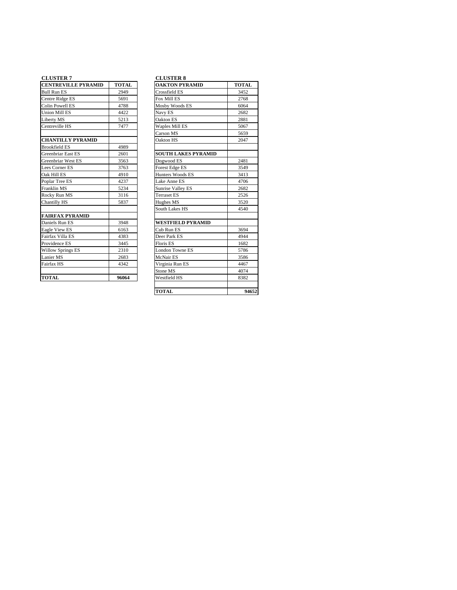### **CLUSTER 7**

| <b>CENTREVILLE PYRAMID</b> | <b>TOTAL</b> | <b>OAKTON PYRAMID</b>      | <b>TOTAL</b> |
|----------------------------|--------------|----------------------------|--------------|
| <b>Bull Run ES</b>         | 2949         | Crossfield ES              | 3452         |
| Centre Ridge ES            | 5691         | Fox Mill ES                | 2768         |
| <b>Colin Powell ES</b>     | 4788         | Mosby Woods ES             | 6064         |
| <b>Union Mill ES</b>       | 4422         | Navy ES                    | 2682         |
| Liberty MS                 | 5213         | Oakton ES                  | 2881         |
| Centreville HS             | 7477         | Waples Mill ES             | 5067         |
|                            |              | Carson MS                  | 5659         |
| <b>CHANTILLY PYRAMID</b>   |              | Oakton HS                  | 2047         |
| <b>Brookfield ES</b>       | 4989         |                            |              |
| Greenbriar East ES         | 2601         | <b>SOUTH LAKES PYRAMID</b> |              |
| Greenbriar West ES         | 3563         | Dogwood ES                 | 2481         |
| Lees Corner ES             | 3763         | Forest Edge ES             | 3549         |
| Oak Hill ES                | 4910         | Hunters Woods ES           | 3413         |
| Poplar Tree ES             | 4237         | Lake Anne ES               | 4706         |
| Franklin MS                | 5234         | Sunrise Valley ES          | 2682         |
| Rocky Run MS               | 3116         | <b>Terraset ES</b>         | 2526         |
| Chantilly HS               | 5837         | Hughes MS                  | 3520         |
|                            |              | South Lakes HS             | 4540         |
| <b>FAIRFAX PYRAMID</b>     |              |                            |              |
| Daniels Run ES             | 3948         | <b>WESTFIELD PYRAMID</b>   |              |
| Eagle View ES              | 6163         | Cub Run ES                 | 3694         |
| Fairfax Villa ES           | 4383         | Deer Park ES               | 4944         |
| Providence ES              | 3445         | Floris ES                  | 1682         |
| <b>Willow Springs ES</b>   | 2310         | <b>London Towne ES</b>     | 5786         |
| Lanier MS                  | 2683         | McNair ES                  | 3586         |
| Fairfax HS                 | 4342         | Virginia Run ES            | 4467         |
|                            |              | Stone MS                   | 4074         |
| <b>TOTAL</b>               | 96064        | Westfield HS               | 8382         |

### **CLUSTER 8**

| <b>OAKTON PYRAMID</b>      | <b>TOTAL</b> |
|----------------------------|--------------|
| Crossfield ES              | 3452         |
| Fox Mill ES                | 2768         |
| Mosby Woods ES             | 6064         |
| Navy ES                    | 2682         |
| Oakton ES                  | 2881         |
| <b>Waples Mill ES</b>      | 5067         |
| Carson MS                  | 5659         |
| Oakton HS                  | 2047         |
| <b>SOUTH LAKES PYRAMID</b> |              |
| Dogwood ES                 | 2481         |
| Forest Edge ES             | 3549         |
| Hunters Woods ES           | 3413         |
| Lake Anne ES               | 4706         |
| Sunrise Valley ES          | 2682         |
| <b>Terraset ES</b>         | 2526         |
| Hughes MS                  | 3520         |
| South Lakes HS             | 4540         |
| <b>WESTFIELD PYRAMID</b>   |              |
| Cub Run ES                 | 3694         |
| Deer Park ES               | 4944         |
| <b>Floris ES</b>           | 1682         |
| <b>London Towne ES</b>     | 5786         |
| McNair ES                  | 3586         |
| Virginia Run ES            | 4467         |
| Stone MS                   | 4074         |
| Westfield HS               | 8382         |
|                            |              |
| <b>TOTAL</b>               | 94652        |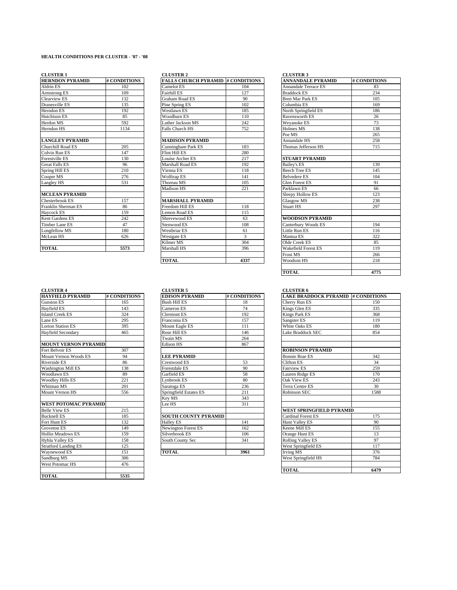### **HEALTH CONDITIONS PER CLUSTER - '07 - '08**

### **CLUSTER 1 CLUSTER 2 CLUSTER 3**

| <b>HERNDON PYRAMID</b> | # CONDITIONS | <b>FALLS CHURCH PYRAMID # CONDIT</b> |                |
|------------------------|--------------|--------------------------------------|----------------|
| Aldrin ES              | 102          | Camelot ES                           | 104            |
| <b>Armstrong ES</b>    | 109          | Fairhill ES                          | 127            |
| Clearview ES           | 132          | <b>Graham Road ES</b>                | 90             |
| Dranesville ES         | 135          | Pine Spring ES                       | 102            |
| Herndon ES             | 192          | Westlawn ES                          | 185            |
| Hutchison ES           | 85           | Woodburn ES                          | 110            |
| Herdon MS              | 592          | Luther Jackson MS                    | 242            |
| Herndon HS             | 1134         | Falls Church HS                      | 752            |
| <b>LANGLEY PYRAMID</b> |              | <b>MADISON PYRAMID</b>               |                |
| Churchill Road ES      | 205          | Cunningham Park ES                   | 183            |
| Colvin Run ES          | 147          | Flint Hill ES                        | 280            |
| Forestville ES         | 130          | Louise Archer ES                     | 217            |
| <b>Great Falls ES</b>  | 96           | Marshall Road ES                     | 192            |
| Spring Hill ES         | 210          | Vienna ES                            | 118            |
| Cooper MS              | 276          | Wolftrap ES                          | 141            |
| Langley HS             | 531          | Thoreau MS                           | 105            |
|                        |              | <b>Madison HS</b>                    | 221            |
| <b>MCLEAN PYRAMID</b>  |              |                                      |                |
| Chesterbrook ES        | 157          | <b>MARSHALL PYRAMID</b>              |                |
| Franklin Sherman ES    | 86           | Freedom Hill ES                      | 118            |
| Haycock ES             | 159          | Lemon Road ES                        | 115            |
| Kent Gardens ES        | 242          | Shrevewood ES                        | 63             |
| Timber Lane ES         | 47           | Stenwood ES                          | 108            |
| Longfellow MS          | 180          | Westbriar ES                         | 61             |
| McLean HS              | 626          | Westgate ES                          | $\overline{3}$ |
|                        |              | Kilmer MS                            | 304            |
| <b>TOTAL</b>           | 5573         | Marshall HS                          | 396            |
|                        |              |                                      |                |

| CLOSIEA I              |              | CLUSIER 4                                |      | CLUSIER J                   |            |
|------------------------|--------------|------------------------------------------|------|-----------------------------|------------|
| <b>HERNDON PYRAMID</b> | # CONDITIONS | <b>FALLS CHURCH PYRAMID # CONDITIONS</b> |      | <b>ANNANDALE PYRAMID</b>    | # CONDITIO |
| Aldrin ES              | 102          | Camelot ES                               | 104  | <b>Annandale Terrace ES</b> | 83         |
| Armstrong ES           | 109          | Fairhill ES                              | 127  | <b>Braddock ES</b>          | 234        |
| Clearview ES           | 132          | <b>Graham Road ES</b>                    | 90   | <b>Bren Mar Park ES</b>     | 105        |
| Dranesville ES         | 135          | Pine Spring ES                           | 102  | Columbia ES                 | 169        |
| Herndon ES             | 192          | <b>Westlawn ES</b>                       | 185  | North Springfield ES        | 186        |
| Hutchison ES           | 85           | Woodburn ES                              | 110  | Ravensworth ES              | 26         |
| Herdon MS              | 592          | Luther Jackson MS                        | 242  | Weyanoke ES                 | 73         |
| Herndon HS             | 1134         | <b>Falls Church HS</b>                   | 752  | Holmes MS                   | 138        |
|                        |              |                                          |      | Poe MS                      | 265        |
| <b>LANGLEY PYRAMID</b> |              | <b>MADISON PYRAMID</b>                   |      | Annandale HS                | 258        |
| Churchill Road ES      | 205          | Cunningham Park ES                       | 183  | Thomas Jefferson HS         | 715        |
| Colvin Run ES          | 147          | Flint Hill ES                            | 280  |                             |            |
| Forestville ES         | 130          | Louise Archer ES                         | 217  | <b>STUART PYRAMID</b>       |            |
| <b>Great Falls ES</b>  | 96           | Marshall Road ES                         | 192  | <b>Bailey's ES</b>          | 139        |
| Spring Hill ES         | 210          | Vienna ES                                | 118  | <b>Beech Tree ES</b>        | 145        |
| Cooper MS              | 276          | Wolftrap ES                              | 141  | <b>Belvedere ES</b>         | 104        |
| Langley HS             | 531          | Thoreau MS                               | 105  | <b>Glen Forest ES</b>       | 91         |
|                        |              | Madison HS                               | 221  | Parklawn ES                 | 66         |
| <b>MCLEAN PYRAMID</b>  |              |                                          |      | Sleepy Hollow ES            | 123        |
| Chesterbrook ES        | 157          | <b>MARSHALL PYRAMID</b>                  |      | <b>Glasgow MS</b>           | 238        |
| Franklin Sherman ES    | 86           | Freedom Hill ES                          | 118  | <b>Stuart HS</b>            | 297        |
| Haycock ES             | 159          | Lemon Road ES                            | 115  |                             |            |
| Kent Gardens ES        | 242          | Shrevewood F.S                           | 63   | <b>WOODSON PYRAMID</b>      |            |
| Timber Lane ES         | 47           | Stenwood ES                              | 108  | Canterbury Woods ES         | 194        |
| Longfellow MS          | 180          | <b>Westbriar ES</b>                      | 61   | Little Run ES               | 116        |
| McLean HS              | 626          | Westgate ES                              | 3    | Mantua ES                   | 322        |
|                        |              | Kilmer MS                                | 304  | Olde Creek ES               | 85         |
| <b>TOTAL</b>           | 5573         | Marshall HS                              | 396  | <b>Wakefield Forest ES</b>  | 119        |
|                        |              |                                          |      | <b>Frost MS</b>             | 266        |
|                        |              | <b>TOTAL</b>                             | 4337 | <b>Woodson HS</b>           | 218        |
|                        |              |                                          |      |                             |            |

| <b>CLUSTER 1</b>       |              | <b>CLUSTER 2</b>                         |      | <b>CLUSTER 3</b>            |              |
|------------------------|--------------|------------------------------------------|------|-----------------------------|--------------|
| <b>HERNDON PYRAMID</b> | # CONDITIONS | <b>FALLS CHURCH PYRAMID # CONDITIONS</b> |      | <b>ANNANDALE PYRAMID</b>    | # CONDITIONS |
| Aldrin ES              | 102          | Camelot ES                               | 104  | <b>Annandale Terrace ES</b> | 83           |
| Armstrong ES           | 109          | <b>Fairhill ES</b>                       | 127  | <b>Braddock ES</b>          | 234          |
| Clearview ES           | 132          | Graham Road ES                           | 90   | <b>Bren Mar Park ES</b>     | 105          |
| Dranesville ES         | 135          | Pine Spring ES                           | 102  | Columbia ES                 | 169          |
| Herndon ES             | 192          | Westlawn ES                              | 185  | North Springfield ES        | 186          |
| Hutchison ES           | 85           | Woodburn ES                              | 110  | Ravensworth ES              | 26           |
| Herdon MS              | 592          | Luther Jackson MS                        | 242  | Weyanoke ES                 | 73           |
| Herndon HS             | 1134         | <b>Falls Church HS</b>                   | 752  | Holmes MS                   | 138          |
|                        |              |                                          |      | Poe MS                      | 265          |
| <b>LANGLEY PYRAMID</b> |              | <b>MADISON PYRAMID</b>                   |      | Annandale HS                | 258          |
| Churchill Road ES      | 205          | Cunningham Park ES                       | 183  | Thomas Jefferson HS         | 715          |
| Colvin Run ES          | 147          | Flint Hill ES                            | 280  |                             |              |
| Forestville ES         | 130          | Louise Archer ES                         | 217  | <b>STUART PYRAMID</b>       |              |
| <b>Great Falls ES</b>  | 96           | Marshall Road ES                         | 192  | <b>Bailey's ES</b>          | 139          |
| Spring Hill ES         | 210          | Vienna ES                                | 118  | <b>Beech Tree ES</b>        | 145          |
| Cooper MS              | 276          | <b>Wolftrap ES</b>                       | 141  | <b>Belvedere ES</b>         | 104          |
| Langley HS             | 531          | Thoreau MS                               | 105  | <b>Glen Forest ES</b>       | 91           |
|                        |              | Madison HS                               | 221  | Parklawn ES                 | 66           |
| <b>MCLEAN PYRAMID</b>  |              |                                          |      | Sleepy Hollow ES            | 123          |
| Chesterbrook ES        | 157          | <b>MARSHALL PYRAMID</b>                  |      | <b>Glasgow MS</b>           | 238          |
| Franklin Sherman ES    | 86           | Freedom Hill ES                          | 118  | <b>Stuart HS</b>            | 297          |
| Haycock ES             | 159          | Lemon Road ES                            | 115  |                             |              |
| Kent Gardens ES        | 242          | Shrevewood ES                            | 63   | <b>WOODSON PYRAMID</b>      |              |
| Timber Lane ES         | 47           | Stenwood ES                              | 108  | Canterbury Woods ES         | 194          |
| Longfellow MS          | 180          | <b>Westbriar ES</b>                      | 61   | Little Run ES               | 116          |
| McLean HS              | 626          | <b>Westgate ES</b>                       | 3    | Mantua ES                   | 322          |
|                        |              | Kilmer MS                                | 304  | Olde Creek ES               | 85           |
| <b>TOTAL</b>           | 5573         | Marshall HS                              | 396  | Wakefield Forest ES         | 119          |
|                        |              |                                          |      | <b>Frost MS</b>             | 266          |
|                        |              | <b>TOTAL</b>                             | 4337 | Woodson HS                  | 218          |
|                        |              |                                          |      |                             |              |
|                        |              |                                          |      | <b>TOTAL</b>                | 4775         |
|                        |              |                                          |      |                             |              |

### **CLUSTER 4** CLUSTER 5

| <b>HAYFIELD PYRAMID</b>     | # CONDITIONS | <b>EDISON PYRAMID</b>         | # CONDITIONS | <b>LAKE BRADDOCK PYRAMID # CONDITION</b> |     |
|-----------------------------|--------------|-------------------------------|--------------|------------------------------------------|-----|
| <b>Gunston ES</b>           | 165          | <b>Bush Hill ES</b>           | 18           | Cherry Run ES                            | 150 |
| <b>Havfield ES</b>          | 143          | Cameron ES                    | 74           | Kings Glen ES                            | 335 |
| <b>Island Creek ES</b>      | 324          | Clermont ES                   | 192          | <b>Kings Park ES</b>                     | 368 |
| Lane ES                     | 295          | Franconia ES                  | 157          | Sangster ES                              | 119 |
| <b>Lorton Station ES</b>    | 395          | Mount Eagle ES                | 111          | White Oaks ES                            | 180 |
| <b>Havfield Secondary</b>   | 465          | Rose Hill ES                  | 146          | Lake Braddock SEC                        | 854 |
|                             |              | Twain MS                      | 264          |                                          |     |
| <b>MOUNT VERNON PYRAMID</b> |              | <b>Edison HS</b>              | 867          |                                          |     |
| Fort Belvoir ES             | 307          |                               |              | <b>ROBINSON PYRAMID</b>                  |     |
| Mount Vernon Woods ES       | 94           | <b>LEE PYRAMID</b>            |              | <b>Bonnie Brae ES</b>                    | 342 |
| Riverside ES                | 86           | Crestwood ES                  | 53           | <b>Clifton ES</b>                        | 34  |
| <b>Washington Mill ES</b>   | 138          | <b>Forestdale ES</b>          | 90           | <b>Fairview ES</b>                       | 259 |
| <b>Woodlawn ES</b>          | 89           | Garfield ES                   | 58           | Lauren Ridge ES                          | 170 |
| <b>Woodley Hills ES</b>     | 221          | Lynbrook ES                   | 80           | Oak View ES                              | 243 |
| Whitman MS                  | 201          | Saratoga ES                   | 236          | Terra Centre ES                          | 30  |
| <b>Mount Vernon HS</b>      | 556          | <b>Springfield Estates ES</b> | 211          | <b>Robinson SEC</b>                      | 158 |
|                             |              | Key MS                        | 343          |                                          |     |
| <b>WEST POTOMAC PYRAMID</b> |              | Lee HS                        | 311          |                                          |     |
| <b>Belle View ES</b>        | 215          |                               |              | <b>WEST SPRINGFIELD PYRAMID</b>          |     |
| <b>Bucknell ES</b>          | 185          | <b>SOUTH COUNTY PYRAMID</b>   |              | <b>Cardinal Forest ES</b>                | 175 |
| Fort Hunt ES                | 132          | <b>Halley ES</b>              | 141          | <b>Hunt Valley ES</b>                    | 90  |
| <b>Groveton ES</b>          | 149          | Newington Forest ES           | 162          | Keene Mill ES                            | 155 |
| <b>Hollin Meadows ES</b>    | 159          | Silverbrook ES                | 106          | Orange Hunt ES                           | 13  |
| <b>Hybla Valley ES</b>      | 158          | South County Sec              | 341          | <b>Rolling Valley ES</b>                 | 97  |
| <b>Stratford Landing ES</b> | 125          |                               |              | West Springfield ES                      | 117 |
| Waynewood ES                | 151          | <b>TOTAL</b>                  | 3961         | <b>Irving MS</b>                         | 376 |
| Sandburg MS                 | 306          |                               |              | West Springfield HS                      | 784 |
| <b>West Potomac HS</b>      | 476          |                               |              |                                          |     |
|                             |              |                               |              | <b>TOTAL</b>                             | 647 |
| <b>TOTAL</b>                | 5535         |                               |              |                                          |     |

| HAYFIELD PYRAMID            | # CONDITIONS | IEDISON PYRAMID             | # CONDITIONS | LAKE BRADDOCK PYRAMID # CONDITIO |      |
|-----------------------------|--------------|-----------------------------|--------------|----------------------------------|------|
| Gunston ES                  | 165          | <b>Bush Hill ES</b>         | 18           | Cherry Run ES                    | 150  |
| Havfield ES                 | 143          | Cameron ES                  | 74           | Kings Glen ES                    | 335  |
| <b>Island Creek ES</b>      | 324          | Clermont ES                 | 192          | Kings Park ES                    | 368  |
| Lane ES                     | 295          | Franconia ES                | 157          | Sangster ES                      | 119  |
| <b>Lorton Station ES</b>    | 395          | Mount Eagle ES              | 111          | White Oaks ES                    | 180  |
| Hayfield Secondary          | 465          | Rose Hill ES                | 146          | Lake Braddock SEC                | 854  |
|                             |              | Twain MS                    | 264          |                                  |      |
| <b>MOUNT VERNON PYRAMID</b> |              | <b>Edison HS</b>            | 867          |                                  |      |
| Fort Belvoir ES             | 307          |                             |              | <b>ROBINSON PYRAMID</b>          |      |
| Mount Vernon Woods ES       | 94           | <b>LEE PYRAMID</b>          |              | <b>Bonnie Brae ES</b>            | 342  |
| Riverside ES                | 86           | Crestwood ES                | 53           | Clifton ES                       | 34   |
| <b>Washington Mill ES</b>   | 138          | Forestdale ES               | 90           | <b>Fairview ES</b>               | 259  |
| Woodlawn ES                 | 89           | Garfield ES                 | 58           | Lauren Ridge ES                  | 170  |
| <b>Woodley Hills ES</b>     | 221          | Lynbrook ES                 | 80           | Oak View ES                      | 243  |
| Whitman MS                  | 201          | Saratoga ES                 | 236          | <b>Terra Centre ES</b>           | 30   |
| Mount Vernon HS             | 556          | Springfield Estates ES      | 211          | <b>Robinson SEC</b>              | 1588 |
|                             |              | Key MS                      | 343          |                                  |      |
| <b>WEST POTOMAC PYRAMID</b> |              | Lee HS                      | 311          |                                  |      |
| <b>Belle View ES</b>        | 215          |                             |              | WEST SPRINGFIELD PYRAMID         |      |
| <b>Bucknell ES</b>          | 185          | <b>SOUTH COUNTY PYRAMID</b> |              | <b>Cardinal Forest ES</b>        | 175  |
| Fort Hunt ES                | 132          | <b>Halley ES</b>            | 141          | Hunt Valley ES                   | 90   |
| Groveton ES                 | 149          | <b>Newington Forest ES</b>  | 162          | Keene Mill ES                    | 155  |
| Hollin Meadows ES           | 159          | Silverbrook ES              | 106          | Orange Hunt ES                   | 13   |
| Hybla Valley ES             | 158          | South County Sec            | 341          | <b>Rolling Valley ES</b>         | 97   |
| <b>Stratford Landing ES</b> | 125          |                             |              | West Springfield ES              | 117  |
| Waynewood ES                | 151          | <b>TOTAL</b>                | 3961         | Irving MS                        | 376  |
|                             |              |                             |              |                                  |      |

# **HAKE BRADDOCK PYRAMID # CONDITIONS**<br>Cherry Run ES **LACE BRADDOCK PYRAMID** # CONDITIONS Lake Braddock SEC 854 **ROBINSON PYRAMID** Mount Bonnie Brae ES 342<br>
Clifton ES 34 Lauren Ridge ES 59 and 170 Lauren Ridge ES 59 and 170 and 170 and 170 and 170 and 170 and 170 and 170 and 170 and 170 and 170 and 170 and 170 and 170 and 170 and 170 and 170 and 170 and 170 and 170 and 170 and 170 and 170 Terra Centre ES 201 30 **WEST SPRINGFIELD PYRAMID Cardinal Forest ES** 175

| <b>TOTAL</b>             | 6479 |
|--------------------------|------|
| West Springfield HS      | 784  |
| <b>Irving MS</b>         | 376  |
| West Springfield ES      | 117  |
| <b>Rolling Valley ES</b> | 97   |
| Orange Hunt ES           | 13   |
| Keene Mill ES            | 155  |
| <b>Hunt Valley ES</b>    | 90   |
|                          |      |